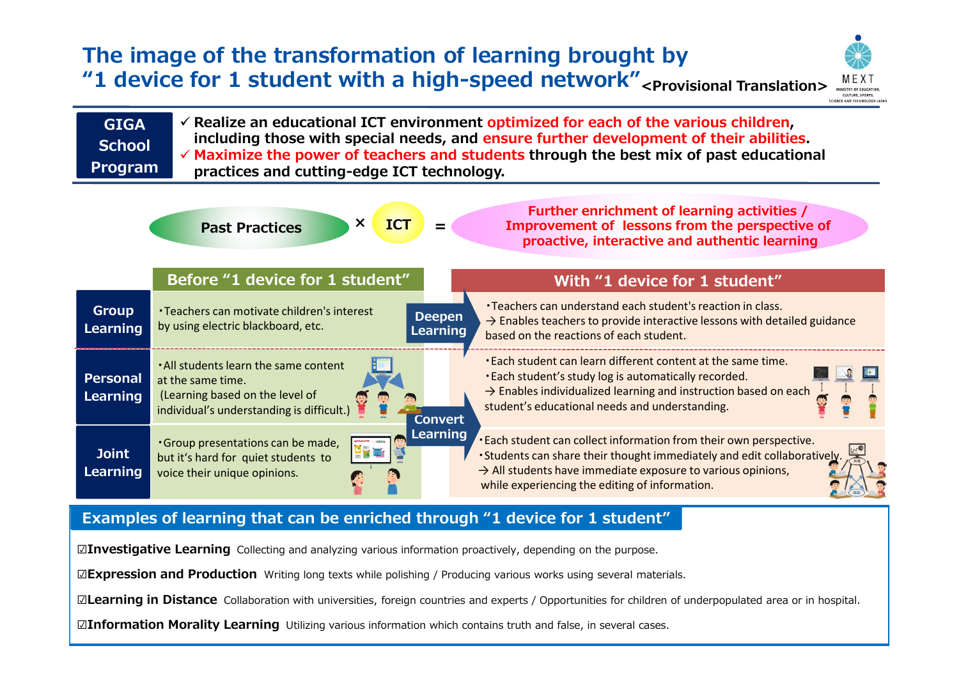## **The image of the transformation of learning brought by "1 device for 1 student with a high-speed network" <Provisional Translation>**



| $\checkmark$ Realize an educational ICT environment optimized for each of the various children,<br><b>GIGA</b><br>including those with special needs, and ensure further development of their abilities.<br><b>School</b><br>$\checkmark$ Maximize the power of teachers and students through the best mix of past educational<br>Program<br>practices and cutting-edge ICT technology. |                                                                                                                                            |                                                                                                                                                                                                                                                                                                     |
|-----------------------------------------------------------------------------------------------------------------------------------------------------------------------------------------------------------------------------------------------------------------------------------------------------------------------------------------------------------------------------------------|--------------------------------------------------------------------------------------------------------------------------------------------|-----------------------------------------------------------------------------------------------------------------------------------------------------------------------------------------------------------------------------------------------------------------------------------------------------|
| <b>Further enrichment of learning activities /</b><br>X<br><b>ICT</b><br>Improvement of lessons from the perspective of<br><b>Past Practices</b><br>proactive, interactive and authentic learning                                                                                                                                                                                       |                                                                                                                                            |                                                                                                                                                                                                                                                                                                     |
|                                                                                                                                                                                                                                                                                                                                                                                         | Before "1 device for 1 student"                                                                                                            | With "1 device for 1 student"                                                                                                                                                                                                                                                                       |
| <b>Group</b><br>Learning                                                                                                                                                                                                                                                                                                                                                                | • Teachers can motivate children's interest<br>by using electric blackboard, etc.                                                          | •Teachers can understand each student's reaction in class.<br><b>Deepen</b><br>$\rightarrow$ Enables teachers to provide interactive lessons with detailed guidance<br><b>Learning</b><br>based on the reactions of each student.                                                                   |
| <b>Personal</b><br>Learning                                                                                                                                                                                                                                                                                                                                                             | . All students learn the same content<br>at the same time.<br>(Learning based on the level of<br>individual's understanding is difficult.) | . Each student can learn different content at the same time.<br>. Each student's study log is automatically recorded.<br>$\rightarrow$ Enables individualized learning and instruction based on each<br>student's educational needs and understanding.<br><b>Convert</b>                            |
| <b>Joint</b><br>Learning                                                                                                                                                                                                                                                                                                                                                                | . Group presentations can be made,<br>but it's hard for quiet students to<br>voice their unique opinions.                                  | <b>Learning</b><br><b>Each student can collect information from their own perspective.</b><br>• Students can share their thought immediately and edit collaboratively.<br>$\rightarrow$ All students have immediate exposure to various opinions,<br>while experiencing the editing of information. |

### **Examples of learning that can be enriched through "1 device for 1 student"**

**☑Investigative Learning** Collecting and analyzing various information proactively, depending on the purpose.

**☑Expression and Production** Writing long texts while polishing / Producing various works using several materials.

**☑Learning in Distance** Collaboration with universities, foreign countries and experts / Opportunities for children of underpopulated area or in hospital.

**☑Information Morality Learning** Utilizing various information which contains truth and false, in several cases.